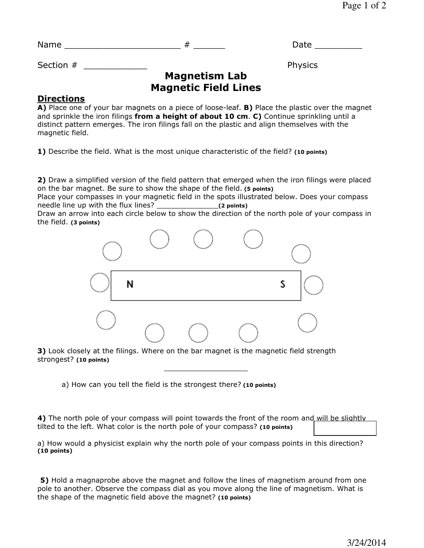| N. |  |  | ___ |  |
|----|--|--|-----|--|
|----|--|--|-----|--|

Section #  $\blacksquare$ 

## **Magnetism Lab Magnetic Field Lines**

## **Directions**

**A)** Place one of your bar magnets on a piece of loose-leaf. **B)** Place the plastic over the magnet and sprinkle the iron filings **from a height of about 10 cm**. **C)** Continue sprinkling until a distinct pattern emerges. The iron filings fall on the plastic and align themselves with the magnetic field.

**1)** Describe the field. What is the most unique characteristic of the field? **(10 points)**

**2)** Draw a simplified version of the field pattern that emerged when the iron filings were placed on the bar magnet. Be sure to show the shape of the field. **(5 points)**

Place your compasses in your magnetic field in the spots illustrated below. Does your compass needle line up with the flux lines? \_\_\_\_\_\_\_\_\_\_\_\_\_\_**(2 points)**

Draw an arrow into each circle below to show the direction of the north pole of your compass in the field. **(3 points)**



**3)** Look closely at the filings. Where on the bar magnet is the magnetic field strength strongest? **(10 points)**

a) How can you tell the field is the strongest there? **(10 points)**

**4)** The north pole of your compass will point towards the front of the room and will be slightly tilted to the left. What color is the north pole of your compass? **(10 points)**

\_\_\_\_\_\_\_\_\_\_\_\_\_\_\_\_\_\_\_

a) How would a physicist explain why the north pole of your compass points in this direction? **(10 points)**

**5)** Hold a magnaprobe above the magnet and follow the lines of magnetism around from one pole to another. Observe the compass dial as you move along the line of magnetism. What is the shape of the magnetic field above the magnet? **(10 points)**